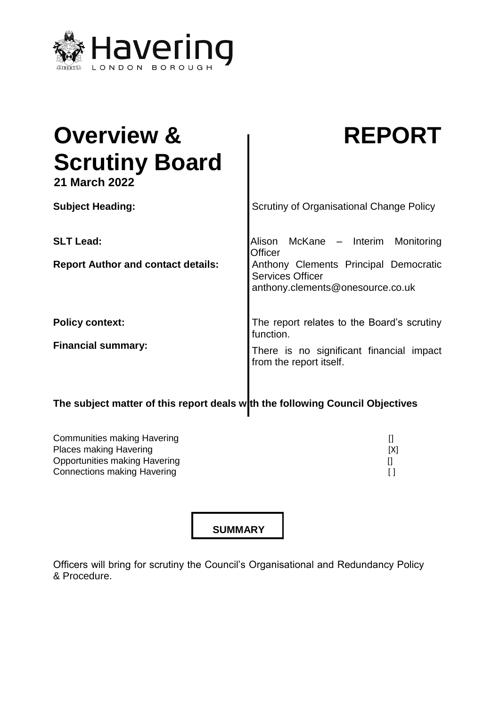

| <b>Overview &amp;</b><br><b>Scrutiny Board</b><br>21 March 2022 | <b>REPORT</b>                                                                                                                                            |
|-----------------------------------------------------------------|----------------------------------------------------------------------------------------------------------------------------------------------------------|
| <b>Subject Heading:</b>                                         | Scrutiny of Organisational Change Policy                                                                                                                 |
| <b>SLT Lead:</b><br><b>Report Author and contact details:</b>   | McKane - Interim Monitoring<br>Alison<br>Officer<br>Anthony Clements Principal Democratic<br><b>Services Officer</b><br>anthony.clements@onesource.co.uk |
| <b>Policy context:</b><br><b>Financial summary:</b>             | The report relates to the Board's scrutiny<br>function.<br>There is no significant financial impact<br>from the report itself.                           |

# The subject matter of this report deals w**ith the following Council Objectives**

| Communities making Havering        |     |
|------------------------------------|-----|
| <b>Places making Havering</b>      | [X] |
| Opportunities making Havering      |     |
| <b>Connections making Havering</b> |     |

**SUMMARY**

Officers will bring for scrutiny the Council's Organisational and Redundancy Policy & Procedure.